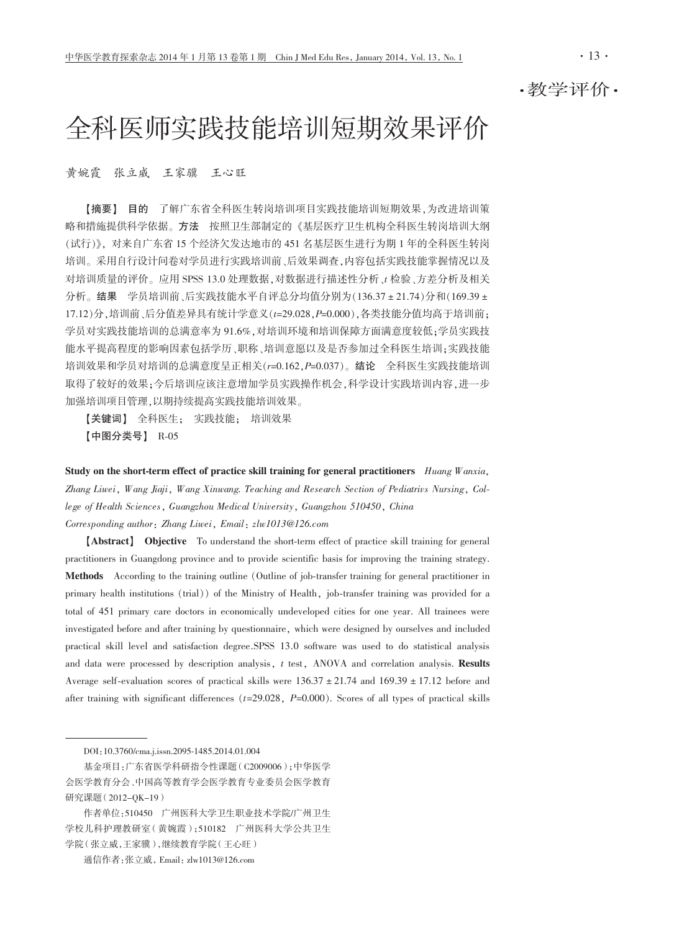·教学评价·

# 全科医师实践技能培训短期效果评价

黄婉霞 张立威 王家骥 王心旺

【摘要】 目的 了解广东省全科医生转岗培训项目实践技能培训短期效果,为改进培训策 略和措施提供科学依据。方法 按照卫生部制定的《基层医疗卫生机构全科医生转岗培训大纲 (试行)》, 对来自广东省 15 个经济欠发达地市的 451 名基层医生进行为期 1 年的全科医生转岗 培训。采用自行设计问卷对学员进行实践培训前、后效果调查,内容包括实践技能掌握情况以及 对培训质量的评价。应用 SPSS 13.0 处理数据,对数据进行描述性分析、t检验、方差分析及相关 分析。结果 学员培训前、后实践技能水平自评总分均值分别为(136.37±21.74)分和(169.39± 17.12)分,培训前、后分值差异具有统计学意义(t=29.028, P=0.000),各类技能分值均高于培训前; 学员对实践技能培训的总满意率为91.6%,对培训环境和培训保障方面满意度较低;学员实践技 能水平提高程度的影响因素包括学历、职称、培训意愿以及是否参加过全科医生培训;实践技能 培训效果和学员对培训的总满意度呈正相关(r=0.162, P=0.037)。结论 全科医生实践技能培训 取得了较好的效果;今后培训应该注意增加学员实践操作机会,科学设计实践培训内容,进一步 加强培训项目管理,以期持续提高实践技能培训效果。

【关键词】 全科医生: 实践技能: 培训效果 【中图分类号】 R-05

Study on the short-term effect of practice skill training for general practitioners Huang Wanxia, Zhang Liwei, Wang Jiaji, Wang Xinwang. Teaching and Research Section of Pediatrivs Nursing, College of Health Sciences, Guangzhou Medical University, Guangzhou 510450, China Corresponding author: Zhang Liwei, Email: zlw1013@126.com

[Abstract] Objective To understand the short-term effect of practice skill training for general practitioners in Guangdong province and to provide scientific basis for improving the training strategy. Methods According to the training outline (Outline of job-transfer training for general practitioner in primary health institutions (trial)) of the Ministry of Health, job-transfer training was provided for a total of 451 primary care doctors in economically undeveloped cities for one year. All trainees were investigated before and after training by questionnaire, which were designed by ourselves and included practical skill level and satisfaction degree. SPSS 13.0 software was used to do statistical analysis and data were processed by description analysis, t test, ANOVA and correlation analysis. Results Average self-evaluation scores of practical skills were  $136.37 \pm 21.74$  and  $169.39 \pm 17.12$  before and after training with significant differences ( $t=29.028$ ,  $P=0.000$ ). Scores of all types of practical skills

DOI: 10.3760/cma.i.issn.2095-1485.2014.01.004

基金项目:广东省医学科研指令性课题(C2009006):中华医学 会医学教育分会、中国高等教育学会医学教育专业委员会医学教育 研究课题(2012-OK-19)

作者单位:510450 广州医科大学卫生职业技术学院/广州卫生 学校儿科护理教研室(黄婉霞):510182 广州医科大学公共卫生 学院(张立威,王家骥),继续教育学院(王心旺)

通信作者:张立威, Email: zlw1013@126.com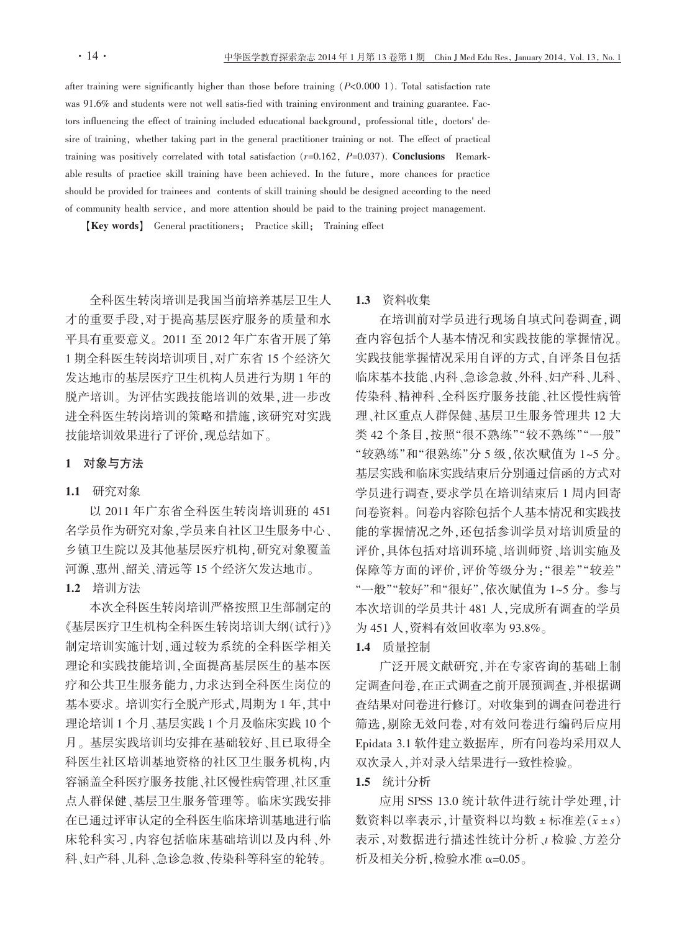after training were significantly higher than those before training  $(P<0.000 1)$ . Total satisfaction rate was 91.6% and students were not well satis-fied with training environment and training guarantee. Factors influencing the effect of training included educational background, professional title, doctors' desire of training, whether taking part in the general practitioner training or not. The effect of practical training was positively correlated with total satisfaction  $(r=0.162, P=0.037)$ . Conclusions Remarkable results of practice skill training have been achieved. In the future, more chances for practice should be provided for trainees and contents of skill training should be designed according to the need of community health service, and more attention should be paid to the training project management.

[Key words] General practitioners; Practice skill; Training effect

全科医生转岗培训是我国当前培养基层卫生人 才的重要手段,对于提高基层医疗服务的质量和水 平具有重要意义。2011至2012年广东省开展了第 1 期全科医生转岗培训项目, 对广东省 15 个经济欠 发达地市的基层医疗卫生机构人员进行为期1年的 脱产培训。为评估实践技能培训的效果,进一步改 进全科医生转岗培训的策略和措施,该研究对实践 技能培训效果进行了评价,现总结如下。

## 1 对象与方法

#### 1.1 研究对象

以 2011年广东省全科医生转岗培训班的 451 名学员作为研究对象,学员来自社区卫生服务中心、 乡镇卫生院以及其他基层医疗机构,研究对象覆盖 河源、惠州、韶关、清远等 15 个经济欠发达地市。

## 1.2 培训方法

本次全科医生转岗培训严格按照卫生部制定的 《基层医疗卫生机构全科医生转岗培训大纲(试行)》 制定培训实施计划,通过较为系统的全科医学相关 理论和实践技能培训,全面提高基层医生的基本医 疗和公共卫生服务能力,力求达到全科医生岗位的 基本要求。培训实行全脱产形式,周期为1年,其中 理论培训1个月、基层实践1个月及临床实践10个 月。基层实践培训均安排在基础较好、且已取得全 科医生社区培训基地资格的社区卫生服务机构,内 容涵盖全科医疗服务技能、社区慢性病管理、社区重 点人群保健、基层卫生服务管理等。临床实践安排 在已通过评审认定的全科医生临床培训基地进行临 床轮科实习,内容包括临床基础培训以及内科、外 科、妇产科、儿科、急诊急救、传染科等科室的轮转。

#### 1.3 资料收集

在培训前对学员进行现场自填式问卷调查,调 杳内容包括个人基本情况和实践技能的掌握情况。 实践技能掌握情况采用自评的方式,自评条目包括 临床基本技能、内科、急诊急救、外科、妇产科、儿科、 传染科、精神科、全科医疗服务技能、社区慢性病管 理、社区重点人群保健、基层卫生服务管理共 12 大 类 42个条目,按照"很不熟练""较不熟练""一般" "较熟练"和"很熟练"分5级,依次赋值为1~5分。 基层实践和临床实践结束后分别通过信函的方式对 学员进行调查,要求学员在培训结束后1周内回寄 问卷资料。问卷内容除包括个人基本情况和实践技 能的掌握情况之外,还包括参训学员对培训质量的 评价,具体包括对培训环境、培训师资、培训实施及 保障等方面的评价,评价等级分为:"很差""较差" "一般""较好"和"很好",依次赋值为1~5分。参与 本次培训的学员共计481人,完成所有调查的学员 为 451 人, 资料有效回收率为 93.8%。

#### 1.4 质量控制

广泛开展文献研究,并在专家咨询的基础上制 定调查问卷,在正式调查之前开展预调查,并根据调 查结果对问卷进行修订。对收集到的调查问卷进行 筛选,剔除无效问卷,对有效问卷进行编码后应用 Epidata 3.1 软件建立数据库, 所有问卷均采用双人 双次录入,并对录入结果进行一致性检验。

## 1.5 统计分析

应用 SPSS 13.0 统计软件进行统计学处理, 计 数资料以率表示,计量资料以均数±标准差(x±s) 表示,对数据进行描述性统计分析、t 检验、方差分 析及相关分析,检验水准 α=0.05。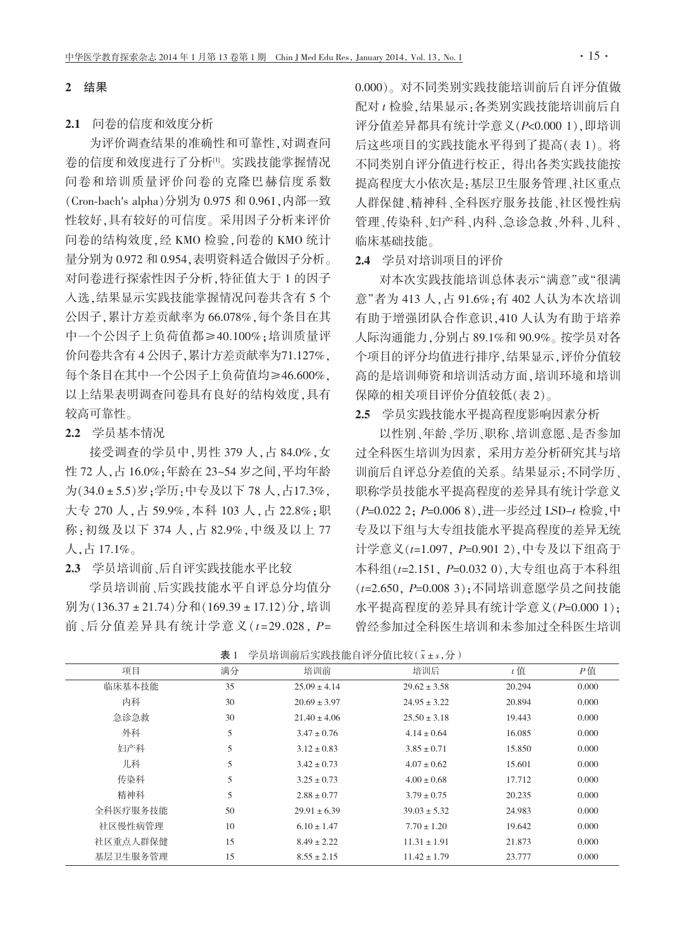#### 2 结果

#### 2.1 问卷的信度和效度分析

为评价调查结果的准确性和可靠性,对调查问 卷的信度和效度进行了分析吗。实践技能掌握情况 问卷和培训质量评价问卷的克降巴赫信度系数 (Cron-bach's alpha)分别为 0.975 和 0.961. 内部一致 性较好,具有较好的可信度。采用因子分析来评价 问卷的结构效度,经KMO检验,问卷的KMO统计 量分别为 0.972 和 0.954, 表明资料适合做因子分析。 对问卷进行探索性因子分析,特征值大于1的因子 入选,结果显示实践技能掌握情况问卷共含有5个 公因子,累计方差贡献率为66.078%,每个条目在其 中一个公因子上负荷值都≥40.100%;培训质量评 价问卷共含有4公因子,累计方差贡献率为71.127%, 每个条目在其中一个公因子上负荷值均≥46.600%, 以上结果表明调杳问卷具有良好的结构效度,具有 较高可靠性。

2.2 学员基本情况

接受调查的学员中,男性 379 人,占 84.0%,女 性 72 人,占 16.0%;年龄在 23~54 岁之间,平均年龄 为(34.0±5.5)岁:学历:中专及以下78人,占17.3%. 大专 270 人, 占 59.9%, 本科 103 人, 占 22.8%; 职 称:初级及以下 374 人, 占 82.9%, 中级及以上 77 人,占17.1%。

2.3 学员培训前、后自评实践技能水平比较

学员培训前、后实践技能水平自评总分均值分 别为(136.37±21.74)分和(169.39±17.12)分,培训 前、后分值差异具有统计学意义( $t=29.028$ ,  $P=$  0.000)。对不同类别实践技能培训前后自评分值做 配对 t 检验, 结果显示: 各类别实践技能培训前后自 评分值差异都具有统计学意义(P<0.000 1). 即培训 后这些项目的实践技能水平得到了提高(表1)。将 不同类别自评分值讲行校正、得出各类实践技能按 提高程度大小依次是:基层卫生服务管理、社区重点 人群保健、精神科、全科医疗服务技能、社区慢性病 管理、传染科、妇产科、内科、急诊急救、外科、儿科、 临床基础技能。

2.4 学员对培训项目的评价

对本次实践技能培训总体表示"满意"或"很满 意"者为 413 人, 占 91.6%; 有 402 人认为本次培训 有助于增强团队合作意识, 410 人认为有助于培养 人际沟通能力,分别占 89.1%和 90.9%。按学员对各 个项目的评分均值进行排序,结果显示,评价分值较 高的是培训师资和培训活动方面,培训环境和培训 保障的相关项目评价分值较低(表2)。

## 2.5 学员实践技能水平提高程度影响因素分析

以性别、年龄、学历、职称、培训意愿、是否参加 过全科医生培训为因素。采用方差分析研究其与培 训前后自评总分差值的关系。结果显示:不同学历、 职称学员技能水平提高程度的差异具有统计学意义 (P=0.022 2; P=0.006 8), 进一步经过 LSD-t 检验, 中 专及以下组与大专组技能水平提高程度的差异无统 计学意义(t=1.097, P=0.901 2), 中专及以下组高于 本科组(t=2.151, P=0.032 0), 大专组也高于本科组 (t=2.650, P=0.008 3): 不同培训意愿学员之间技能 水平提高程度的差异具有统计学意义(P=0.000 1): 曾经参加过全科医生培训和未参加过全科医生培训

| 项目       | 满分 | 培训前              | 培训后              | $t$ 值  | $P$ 值 |
|----------|----|------------------|------------------|--------|-------|
| 临床基本技能   | 35 | $25.09 \pm 4.14$ | $29.62 \pm 3.58$ | 20.294 | 0.000 |
| 内科       | 30 | $20.69 \pm 3.97$ | $24.95 \pm 3.22$ | 20.894 | 0.000 |
| 急诊急救     | 30 | $21.40 \pm 4.06$ | $25.50 \pm 3.18$ | 19.443 | 0.000 |
| 外科       | 5  | $3.47 \pm 0.76$  | $4.14 \pm 0.64$  | 16.085 | 0.000 |
| 妇产科      | 5  | $3.12 \pm 0.83$  | $3.85 \pm 0.71$  | 15.850 | 0.000 |
| 儿科       | 5  | $3.42 \pm 0.73$  | $4.07 \pm 0.62$  | 15.601 | 0.000 |
| 传染科      | 5  | $3.25 \pm 0.73$  | $4.00 \pm 0.68$  | 17.712 | 0.000 |
| 精神科      | 5  | $2.88 \pm 0.77$  | $3.79 \pm 0.75$  | 20.235 | 0.000 |
| 全科医疗服务技能 | 50 | $29.91 \pm 6.39$ | $39.03 \pm 5.32$ | 24.983 | 0.000 |
| 社区慢性病管理  | 10 | $6.10 \pm 1.47$  | $7.70 \pm 1.20$  | 19.642 | 0.000 |
| 社区重点人群保健 | 15 | $8.49 \pm 2.22$  | $11.31 \pm 1.91$ | 21.873 | 0.000 |
| 基层卫生服务管理 | 15 | $8.55 \pm 2.15$  | $11.42 \pm 1.79$ | 23.777 | 0.000 |

表 1 学员培训前后实践技能自评分值比较(x+s,分)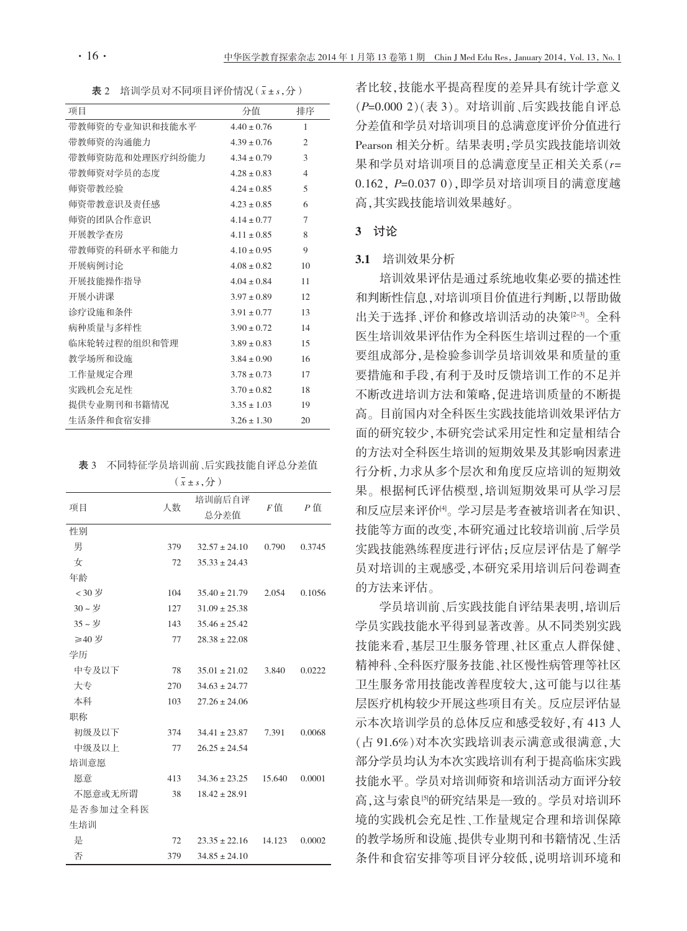表 2 培训学员对不同项目评价情况 (x+s,分)

| 项目              | 分值              | 排序             |
|-----------------|-----------------|----------------|
| 带教师资的专业知识和技能水平  | $4.40 \pm 0.76$ | $\mathbf{1}$   |
| 带教师资的沟通能力       | $4.39 \pm 0.76$ | $\overline{2}$ |
| 带教师资防范和处理医疗纠纷能力 | $4.34 \pm 0.79$ | $\mathcal{E}$  |
| 带教师资对学员的杰度      | $4.28 \pm 0.83$ | $\overline{4}$ |
| 师资带教经验          | $4.24 \pm 0.85$ | $\overline{5}$ |
| 师资带教意识及责任感      | $4.23 \pm 0.85$ | 6              |
| 师资的团队合作意识       | $4.14 \pm 0.77$ | 7              |
| 开展教学杳房          | $4.11 \pm 0.85$ | 8              |
| 带教师资的科研水平和能力    | $4.10 \pm 0.95$ | 9              |
| 开展病例讨论          | $4.08 + 0.82$   | 10             |
| 开展技能操作指导        | $4.04 + 0.84$   | 11             |
| 开展小讲课           | $3.97 + 0.89$   | 12.            |
| 诊疗设施和条件         | $3.91 + 0.77$   | 13             |
| 病种质量与多样性        | $3.90 \pm 0.72$ | 14             |
| 临床轮转过程的组织和管理    | $3.89 \pm 0.83$ | 15             |
| 教学场所和设施         | $3.84 \pm 0.90$ | 16             |
| 工作量规定合理         | $378 + 073$     | 17             |
| 实践机会充足性         | $3.70 \pm 0.82$ | 18             |
| 提供专业期刊和书籍情况     | $3.35 + 1.03$   | 19             |
| 生活条件和食宿安排       | $3.26 + 1.30$   | 20             |

表 3 不同特征学员培训前、后实践技能自评总分差值

| $(x \pm s, 7)$ |     |                   |        |        |  |  |  |  |
|----------------|-----|-------------------|--------|--------|--|--|--|--|
| 项目             | 人数  | 培训前后自评<br>总分差值    | F值     | $P$ 值  |  |  |  |  |
| 性别             |     |                   |        |        |  |  |  |  |
| 男              | 379 | $32.57 \pm 24.10$ | 0.790  | 0.3745 |  |  |  |  |
| 女              | 72  | $35.33 \pm 24.43$ |        |        |  |  |  |  |
| 年龄             |     |                   |        |        |  |  |  |  |
| <30岁           | 104 | $35.40 \pm 21.79$ | 2.054  | 0.1056 |  |  |  |  |
| 30~岁           | 127 | $31.09 \pm 25.38$ |        |        |  |  |  |  |
| 35~岁           | 143 | $35.46 \pm 25.42$ |        |        |  |  |  |  |
| ≥40 岁          | 77  | $28.38 \pm 22.08$ |        |        |  |  |  |  |
| 学历             |     |                   |        |        |  |  |  |  |
| 中专及以下          | 78  | $35.01 \pm 21.02$ | 3.840  | 0.0222 |  |  |  |  |
| 大专             | 270 | $34.63 \pm 24.77$ |        |        |  |  |  |  |
| 本科             | 103 | $27.26 \pm 24.06$ |        |        |  |  |  |  |
| 职称             |     |                   |        |        |  |  |  |  |
| 初级及以下          | 374 | $34.41 \pm 23.87$ | 7.391  | 0.0068 |  |  |  |  |
| 中级及以上          | 77  | $26.25 \pm 24.54$ |        |        |  |  |  |  |
| 培训意愿           |     |                   |        |        |  |  |  |  |
| 愿意             | 413 | $34.36 \pm 23.25$ | 15.640 | 0.0001 |  |  |  |  |
| 不愿意或无所谓        | 38  | $18.42 \pm 28.91$ |        |        |  |  |  |  |
| 是否参加过全科医       |     |                   |        |        |  |  |  |  |
| 生培训            |     |                   |        |        |  |  |  |  |
| 是              | 72  | $23.35 \pm 22.16$ | 14.123 | 0.0002 |  |  |  |  |
| 否              | 379 | $34.85 \pm 24.10$ |        |        |  |  |  |  |

者比较,技能水平提高程度的差异具有统计学意义 (P=0.000 2)(表 3)。对培训前、后实践技能自评总 分差值和学员对培训项目的总满意度评价分值进行 Pearson 相关分析。结果表明:学员实践技能培训效 果和学员对培训项目的总满意度呈正相关关系(r= 0.162, P=0.037 0), 即学员对培训项目的满意度越 高.其实践技能培训效果越好。

#### 3 讨论

## 3.1 培训效果分析

培训效果评估是通过系统地收集必要的描述性 和判断性信息,对培训项目价值进行判断,以帮助做 出关于选择、评价和修改培训活动的决策<sup>[2-3]</sup>。全科 医生培训效果评估作为全科医生培训过程的一个重 要组成部分,是检验参训学员培训效果和质量的重 要措施和手段,有利于及时反馈培训工作的不足并 不断改进培训方法和策略,促进培训质量的不断提 高。目前国内对全科医生实践技能培训效果评估方 面的研究较少,本研究尝试采用定性和定量相结合 的方法对全科医生培训的短期效果及其影响因素进 行分析,力求从多个层次和角度反应培训的短期效 果。根据柯氏评估模型,培训短期效果可从学习层 和反应层来评价<sup>吗</sup>。学习层是考查被培训者在知识、 技能等方面的改变,本研究通过比较培训前、后学员 实践技能熟练程度进行评估;反应层评估是了解学 员对培训的主观感受,本研究采用培训后问卷调查 的方法来评估。

学员培训前、后实践技能自评结果表明,培训后 学员实践技能水平得到显著改善。从不同类别实践 技能来看,基层卫生服务管理、社区重点人群保健、 精神科、全科医疗服务技能、社区慢性病管理等社区 卫生服务常用技能改善程度较大,这可能与以往基 层医疗机构较少开展这些项目有关。反应层评估显 示本次培训学员的总体反应和感受较好,有413人 (占91.6%)对本次实践培训表示满意或很满意,大 部分学员均认为本次实践培训有利于提高临床实践 技能水平。学员对培训师资和培训活动方面评分较 高,这与索良<sup>[9]</sup>的研究结果是一致的。学员对培训环 境的实践机会充足性、工作量规定合理和培训保障 的教学场所和设施、提供专业期刊和书籍情况、生活 条件和食宿安排等项目评分较低,说明培训环境和